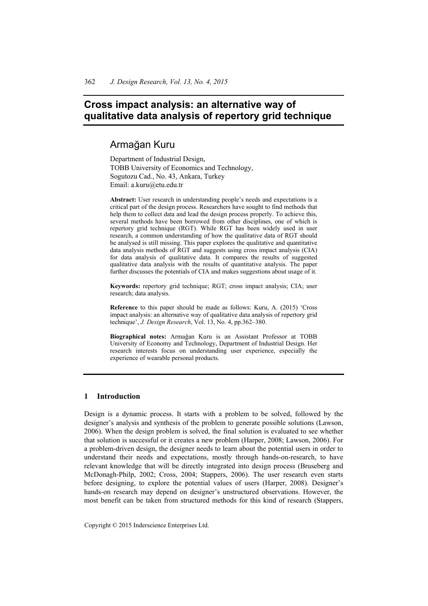# **Cross impact analysis: an alternative way of qualitative data analysis of repertory grid technique**

## Armağan Kuru

Department of Industrial Design, TOBB University of Economics and Technology, Sogutozu Cad., No. 43, Ankara, Turkey Email: a.kuru@etu.edu.tr

**Abstract:** User research in understanding people's needs and expectations is a critical part of the design process. Researchers have sought to find methods that help them to collect data and lead the design process properly. To achieve this, several methods have been borrowed from other disciplines, one of which is repertory grid technique (RGT). While RGT has been widely used in user research, a common understanding of how the qualitative data of RGT should be analysed is still missing. This paper explores the qualitative and quantitative data analysis methods of RGT and suggests using cross impact analysis (CIA) for data analysis of qualitative data. It compares the results of suggested qualitative data analysis with the results of quantitative analysis. The paper further discusses the potentials of CIA and makes suggestions about usage of it.

**Keywords:** repertory grid technique; RGT; cross impact analysis; CIA; user research; data analysis.

**Reference** to this paper should be made as follows: Kuru, A. (2015) 'Cross impact analysis: an alternative way of qualitative data analysis of repertory grid technique', *J. Design Research*, Vol. 13, No. 4, pp.362–380.

**Biographical notes:** Armağan Kuru is an Assistant Professor at TOBB University of Economy and Technology, Department of Industrial Design. Her research interests focus on understanding user experience, especially the experience of wearable personal products.

## **1 Introduction**

Design is a dynamic process. It starts with a problem to be solved, followed by the designer's analysis and synthesis of the problem to generate possible solutions (Lawson, 2006). When the design problem is solved, the final solution is evaluated to see whether that solution is successful or it creates a new problem (Harper, 2008; Lawson, 2006). For a problem-driven design, the designer needs to learn about the potential users in order to understand their needs and expectations, mostly through hands-on-research, to have relevant knowledge that will be directly integrated into design process (Bruseberg and McDonagh-Philp, 2002; Cross, 2004; Stappers, 2006). The user research even starts before designing, to explore the potential values of users (Harper, 2008). Designer's hands-on research may depend on designer's unstructured observations. However, the most benefit can be taken from structured methods for this kind of research (Stappers,

Copyright © 2015 Inderscience Enterprises Ltd.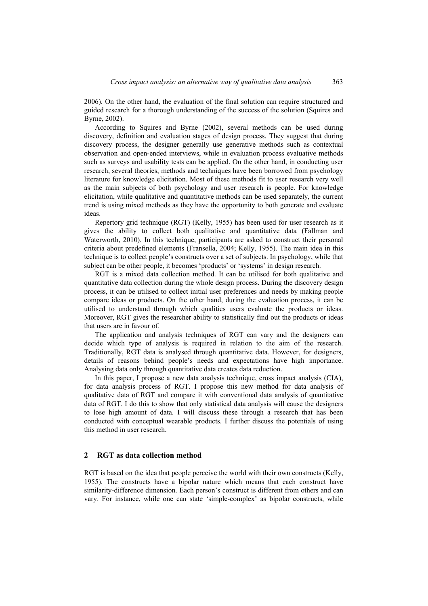2006). On the other hand, the evaluation of the final solution can require structured and guided research for a thorough understanding of the success of the solution (Squires and Byrne, 2002).

According to Squires and Byrne (2002), several methods can be used during discovery, definition and evaluation stages of design process. They suggest that during discovery process, the designer generally use generative methods such as contextual observation and open-ended interviews, while in evaluation process evaluative methods such as surveys and usability tests can be applied. On the other hand, in conducting user research, several theories, methods and techniques have been borrowed from psychology literature for knowledge elicitation. Most of these methods fit to user research very well as the main subjects of both psychology and user research is people. For knowledge elicitation, while qualitative and quantitative methods can be used separately, the current trend is using mixed methods as they have the opportunity to both generate and evaluate ideas.

Repertory grid technique (RGT) (Kelly, 1955) has been used for user research as it gives the ability to collect both qualitative and quantitative data (Fallman and Waterworth, 2010). In this technique, participants are asked to construct their personal criteria about predefined elements (Fransella, 2004; Kelly, 1955). The main idea in this technique is to collect people's constructs over a set of subjects. In psychology, while that subject can be other people, it becomes 'products' or 'systems' in design research.

RGT is a mixed data collection method. It can be utilised for both qualitative and quantitative data collection during the whole design process. During the discovery design process, it can be utilised to collect initial user preferences and needs by making people compare ideas or products. On the other hand, during the evaluation process, it can be utilised to understand through which qualities users evaluate the products or ideas. Moreover, RGT gives the researcher ability to statistically find out the products or ideas that users are in favour of.

The application and analysis techniques of RGT can vary and the designers can decide which type of analysis is required in relation to the aim of the research. Traditionally, RGT data is analysed through quantitative data. However, for designers, details of reasons behind people's needs and expectations have high importance. Analysing data only through quantitative data creates data reduction.

In this paper, I propose a new data analysis technique, cross impact analysis (CIA), for data analysis process of RGT. I propose this new method for data analysis of qualitative data of RGT and compare it with conventional data analysis of quantitative data of RGT. I do this to show that only statistical data analysis will cause the designers to lose high amount of data. I will discuss these through a research that has been conducted with conceptual wearable products. I further discuss the potentials of using this method in user research.

#### **2 RGT as data collection method**

RGT is based on the idea that people perceive the world with their own constructs (Kelly, 1955). The constructs have a bipolar nature which means that each construct have similarity-difference dimension. Each person's construct is different from others and can vary. For instance, while one can state 'simple-complex' as bipolar constructs, while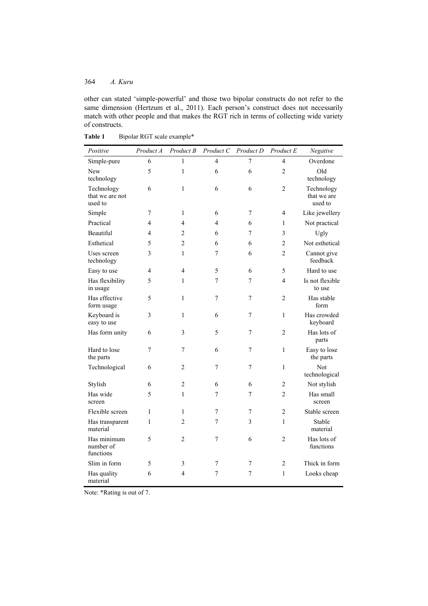other can stated 'simple-powerful' and those two bipolar constructs do not refer to the same dimension (Hertzum et al., 2011). Each person's construct does not necessarily match with other people and that makes the RGT rich in terms of collecting wide variety of constructs.

| Positive                                 | Product A | Product B      | Product C      | Product D | Product E      | Negative                             |  |  |
|------------------------------------------|-----------|----------------|----------------|-----------|----------------|--------------------------------------|--|--|
| Simple-pure                              | 6         | 1              | 4              | 7         | 4              | Overdone                             |  |  |
| New<br>technology                        | 5         | $\mathbf{1}$   | 6              | 6         | $\overline{2}$ | Old<br>technology                    |  |  |
| Technology<br>that we are not<br>used to | 6         | 1              | 6              | 6         | $\overline{c}$ | Technology<br>that we are<br>used to |  |  |
| Simple                                   | 7         | 1              | 6              | 7         | 4              | Like jewellery                       |  |  |
| Practical                                | 4         | 4              | 4              | 6         | 1              | Not practical                        |  |  |
| Beautiful                                | 4         | 2              | 6              | 7         | 3              | Ugly                                 |  |  |
| Esthetical                               | 5         | 2              | 6              | 6         | $\overline{2}$ | Not esthetical                       |  |  |
| Uses screen<br>technology                | 3         | 1              | 7              | 6         | $\overline{2}$ | Cannot give<br>feedback              |  |  |
| Easy to use                              | 4         | $\overline{4}$ | 5              | 6         | 5              | Hard to use                          |  |  |
| Has flexibility<br>in usage              | 5         | 1              | $\overline{7}$ | 7         | 4              | Is not flexible<br>to use            |  |  |
| Has effective<br>form usage              | 5         | $\mathbf{1}$   | 7              | 7         | $\overline{2}$ | Has stable<br>form                   |  |  |
| Keyboard is<br>easy to use               | 3         | $\mathbf{1}$   | 6              | 7         | $\mathbf{1}$   | Has crowded<br>keyboard              |  |  |
| Has form unity                           | 6         | $\mathfrak{Z}$ | 5              | 7         | 2              | Has lots of<br>parts                 |  |  |
| Hard to lose<br>the parts                | 7         | 7              | 6              | 7         | $\mathbf{1}$   | Easy to lose<br>the parts            |  |  |
| Technological                            | 6         | 2              | 7              | 7         | $\mathbf{1}$   | Not<br>technological                 |  |  |
| Stylish                                  | 6         | $\overline{2}$ | 6              | 6         | 2              | Not stylish                          |  |  |
| Has wide<br>screen                       | 5         | 1              | 7              | 7         | $\overline{c}$ | Has small<br>screen                  |  |  |
| Flexible screen                          | 1         | 1              | 7              | 7         | $\overline{2}$ | Stable screen                        |  |  |
| Has transparent<br>material              | 1         | $\overline{2}$ | 7              | 3         | $\mathbf{1}$   | Stable<br>material                   |  |  |
| Has minimum<br>number of<br>functions    | 5         | $\overline{c}$ | 7              | 6         | 2              | Has lots of<br>functions             |  |  |
| Slim in form                             | 5         | 3              | 7              | 7         | $\overline{c}$ | Thick in form                        |  |  |
| Has quality<br>material                  | 6         | 4              | 7              | 7         | $\mathbf{1}$   | Looks cheap                          |  |  |

Table 1 Bipolar RGT scale example\*

Note: \*Rating is out of 7.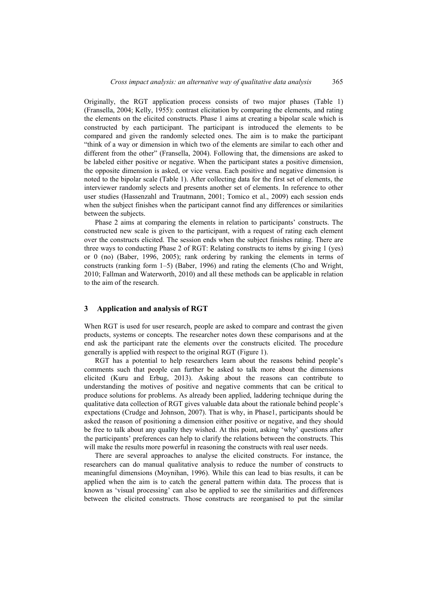Originally, the RGT application process consists of two major phases (Table 1) (Fransella, 2004; Kelly, 1955): contrast elicitation by comparing the elements, and rating the elements on the elicited constructs. Phase 1 aims at creating a bipolar scale which is constructed by each participant. The participant is introduced the elements to be compared and given the randomly selected ones. The aim is to make the participant "think of a way or dimension in which two of the elements are similar to each other and different from the other" (Fransella, 2004). Following that, the dimensions are asked to be labeled either positive or negative. When the participant states a positive dimension, the opposite dimension is asked, or vice versa. Each positive and negative dimension is noted to the bipolar scale (Table 1). After collecting data for the first set of elements, the interviewer randomly selects and presents another set of elements. In reference to other user studies (Hassenzahl and Trautmann, 2001; Tomico et al., 2009) each session ends when the subject finishes when the participant cannot find any differences or similarities between the subjects.

Phase 2 aims at comparing the elements in relation to participants' constructs. The constructed new scale is given to the participant, with a request of rating each element over the constructs elicited. The session ends when the subject finishes rating. There are three ways to conducting Phase 2 of RGT: Relating constructs to items by giving 1 (yes) or 0 (no) (Baber, 1996, 2005); rank ordering by ranking the elements in terms of constructs (ranking form 1–5) (Baber, 1996) and rating the elements (Cho and Wright, 2010; Fallman and Waterworth, 2010) and all these methods can be applicable in relation to the aim of the research.

#### **3 Application and analysis of RGT**

When RGT is used for user research, people are asked to compare and contrast the given products, systems or concepts. The researcher notes down these comparisons and at the end ask the participant rate the elements over the constructs elicited. The procedure generally is applied with respect to the original RGT (Figure 1).

RGT has a potential to help researchers learn about the reasons behind people's comments such that people can further be asked to talk more about the dimensions elicited (Kuru and Erbug, 2013). Asking about the reasons can contribute to understanding the motives of positive and negative comments that can be critical to produce solutions for problems. As already been applied, laddering technique during the qualitative data collection of RGT gives valuable data about the rationale behind people's expectations (Crudge and Johnson, 2007). That is why, in Phase1, participants should be asked the reason of positioning a dimension either positive or negative, and they should be free to talk about any quality they wished. At this point, asking 'why' questions after the participants' preferences can help to clarify the relations between the constructs. This will make the results more powerful in reasoning the constructs with real user needs.

There are several approaches to analyse the elicited constructs. For instance, the researchers can do manual qualitative analysis to reduce the number of constructs to meaningful dimensions (Moynihan, 1996). While this can lead to bias results, it can be applied when the aim is to catch the general pattern within data. The process that is known as 'visual processing' can also be applied to see the similarities and differences between the elicited constructs. Those constructs are reorganised to put the similar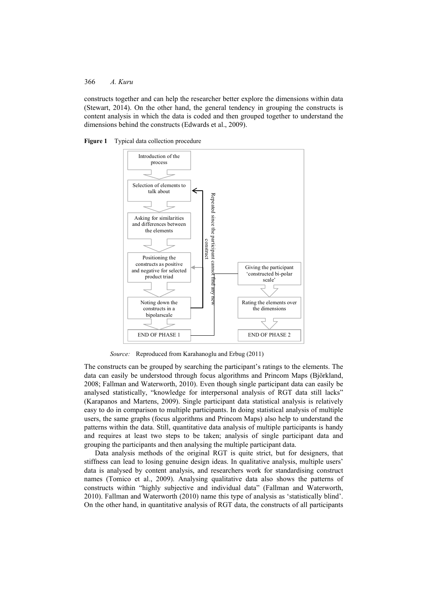constructs together and can help the researcher better explore the dimensions within data (Stewart, 2014). On the other hand, the general tendency in grouping the constructs is content analysis in which the data is coded and then grouped together to understand the dimensions behind the constructs (Edwards et al., 2009).

**Figure 1** Typical data collection procedure



*Source:* Reproduced from Karahanoglu and Erbug (2011)

The constructs can be grouped by searching the participant's ratings to the elements. The data can easily be understood through focus algorithms and Princom Maps (Björkland, 2008; Fallman and Waterworth, 2010). Even though single participant data can easily be analysed statistically, "knowledge for interpersonal analysis of RGT data still lacks" (Karapanos and Martens, 2009). Single participant data statistical analysis is relatively easy to do in comparison to multiple participants. In doing statistical analysis of multiple users, the same graphs (focus algorithms and Princom Maps) also help to understand the patterns within the data. Still, quantitative data analysis of multiple participants is handy and requires at least two steps to be taken; analysis of single participant data and grouping the participants and then analysing the multiple participant data.

Data analysis methods of the original RGT is quite strict, but for designers, that stiffness can lead to losing genuine design ideas. In qualitative analysis, multiple users' data is analysed by content analysis, and researchers work for standardising construct names (Tomico et al., 2009). Analysing qualitative data also shows the patterns of constructs within "highly subjective and individual data" (Fallman and Waterworth, 2010). Fallman and Waterworth (2010) name this type of analysis as 'statistically blind'. On the other hand, in quantitative analysis of RGT data, the constructs of all participants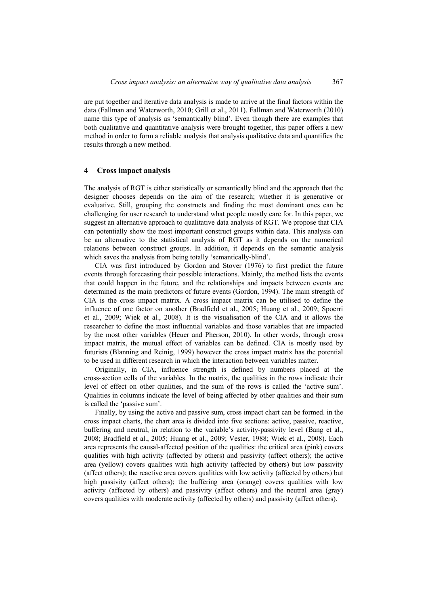are put together and iterative data analysis is made to arrive at the final factors within the data (Fallman and Waterworth, 2010; Grill et al., 2011). Fallman and Waterworth (2010) name this type of analysis as 'semantically blind'. Even though there are examples that both qualitative and quantitative analysis were brought together, this paper offers a new method in order to form a reliable analysis that analysis qualitative data and quantifies the results through a new method.

## **4 Cross impact analysis**

The analysis of RGT is either statistically or semantically blind and the approach that the designer chooses depends on the aim of the research; whether it is generative or evaluative. Still, grouping the constructs and finding the most dominant ones can be challenging for user research to understand what people mostly care for. In this paper, we suggest an alternative approach to qualitative data analysis of RGT. We propose that CIA can potentially show the most important construct groups within data. This analysis can be an alternative to the statistical analysis of RGT as it depends on the numerical relations between construct groups. In addition, it depends on the semantic analysis which saves the analysis from being totally 'semantically-blind'.

CIA was first introduced by Gordon and Stover (1976) to first predict the future events through forecasting their possible interactions. Mainly, the method lists the events that could happen in the future, and the relationships and impacts between events are determined as the main predictors of future events (Gordon, 1994). The main strength of CIA is the cross impact matrix. A cross impact matrix can be utilised to define the influence of one factor on another (Bradfield et al., 2005; Huang et al., 2009; Spoerri et al., 2009; Wiek et al., 2008). It is the visualisation of the CIA and it allows the researcher to define the most influential variables and those variables that are impacted by the most other variables (Heuer and Pherson, 2010). In other words, through cross impact matrix, the mutual effect of variables can be defined. CIA is mostly used by futurists (Blanning and Reinig, 1999) however the cross impact matrix has the potential to be used in different research in which the interaction between variables matter.

Originally, in CIA, influence strength is defined by numbers placed at the cross-section cells of the variables. In the matrix, the qualities in the rows indicate their level of effect on other qualities, and the sum of the rows is called the 'active sum'. Qualities in columns indicate the level of being affected by other qualities and their sum is called the 'passive sum'.

Finally, by using the active and passive sum, cross impact chart can be formed. in the cross impact charts, the chart area is divided into five sections: active, passive, reactive, buffering and neutral, in relation to the variable's activity-passivity level (Bang et al., 2008; Bradfield et al., 2005; Huang et al., 2009; Vester, 1988; Wiek et al., 2008). Each area represents the causal-affected position of the qualities: the critical area (pink) covers qualities with high activity (affected by others) and passivity (affect others); the active area (yellow) covers qualities with high activity (affected by others) but low passivity (affect others); the reactive area covers qualities with low activity (affected by others) but high passivity (affect others); the buffering area (orange) covers qualities with low activity (affected by others) and passivity (affect others) and the neutral area (gray) covers qualities with moderate activity (affected by others) and passivity (affect others).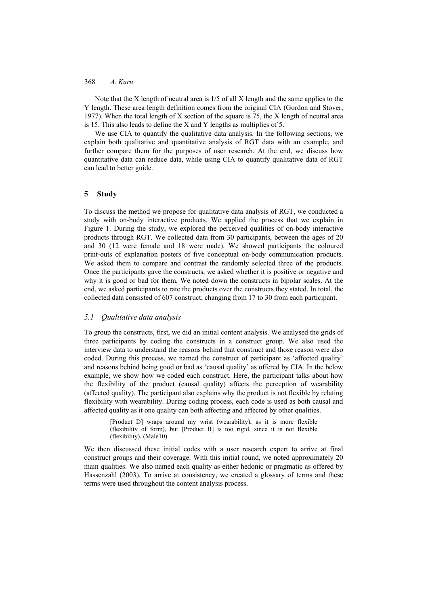Note that the X length of neutral area is 1/5 of all X length and the same applies to the Y length. These area length definition comes from the original CIA (Gordon and Stover, 1977). When the total length of X section of the square is 75, the X length of neutral area is 15. This also leads to define the X and Y lengths as multiplies of 5.

We use CIA to quantify the qualitative data analysis. In the following sections, we explain both qualitative and quantitative analysis of RGT data with an example, and further compare them for the purposes of user research. At the end, we discuss how quantitative data can reduce data, while using CIA to quantify qualitative data of RGT can lead to better guide.

## **5 Study**

To discuss the method we propose for qualitative data analysis of RGT, we conducted a study with on-body interactive products. We applied the process that we explain in Figure 1. During the study, we explored the perceived qualities of on-body interactive products through RGT. We collected data from 30 participants, between the ages of 20 and 30 (12 were female and 18 were male). We showed participants the coloured print-outs of explanation posters of five conceptual on-body communication products. We asked them to compare and contrast the randomly selected three of the products. Once the participants gave the constructs, we asked whether it is positive or negative and why it is good or bad for them. We noted down the constructs in bipolar scales. At the end, we asked participants to rate the products over the constructs they stated. In total, the collected data consisted of 607 construct, changing from 17 to 30 from each participant.

#### *5.1 Qualitative data analysis*

To group the constructs, first, we did an initial content analysis. We analysed the grids of three participants by coding the constructs in a construct group. We also used the interview data to understand the reasons behind that construct and those reason were also coded. During this process, we named the construct of participant as 'affected quality' and reasons behind being good or bad as 'causal quality' as offered by CIA. In the below example, we show how we coded each construct. Here, the participant talks about how the flexibility of the product (causal quality) affects the perception of wearability (affected quality). The participant also explains why the product is not flexible by relating flexibility with wearability. During coding process, each code is used as both causal and affected quality as it one quality can both affecting and affected by other qualities.

[Product D] wraps around my wrist (wearability), as it is more flexible (flexibility of form), but [Product B] is too rigid, since it is not flexible (flexibility). (Male10)

We then discussed these initial codes with a user research expert to arrive at final construct groups and their coverage. With this initial round, we noted approximately 20 main qualities. We also named each quality as either hedonic or pragmatic as offered by Hassenzahl (2003). To arrive at consistency, we created a glossary of terms and these terms were used throughout the content analysis process.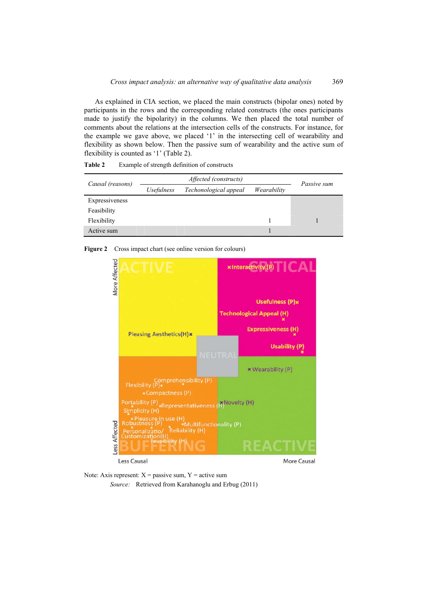As explained in CIA section, we placed the main constructs (bipolar ones) noted by participants in the rows and the corresponding related constructs (the ones participants made to justify the bipolarity) in the columns. We then placed the total number of comments about the relations at the intersection cells of the constructs. For instance, for the example we gave above, we placed '1' in the intersecting cell of wearability and flexibility as shown below. Then the passive sum of wearability and the active sum of flexibility is counted as '1' (Table 2).

| Causal (reasons) |                   | Passive sum           |             |  |  |  |
|------------------|-------------------|-----------------------|-------------|--|--|--|
|                  | <i>Usefulness</i> | Techonological appeal | Wearability |  |  |  |
| Expressiveness   |                   |                       |             |  |  |  |
| Feasibility      |                   |                       |             |  |  |  |
| Flexibility      |                   |                       |             |  |  |  |
| Active sum       |                   |                       |             |  |  |  |

**Table 2** Example of strength definition of constructs

**Figure 2** Cross impact chart (see online version for colours)



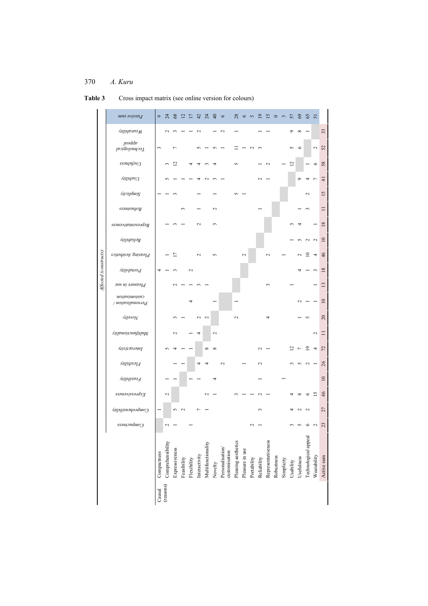'n

|                       | ums anissnd                               | $\bullet$   | $\overline{24}$   | $\frac{8}{3}$   | $\Xi$                    |                 | $\ddot{c}$      | $\mathbb{Z}$       |                 | $\circ$                                                                       | $\frac{8}{2}$       |                 |             |             | ≌                  |            | $\omega$   | 57             | 69           | 65                   | 5                  |                 |
|-----------------------|-------------------------------------------|-------------|-------------------|-----------------|--------------------------|-----------------|-----------------|--------------------|-----------------|-------------------------------------------------------------------------------|---------------------|-----------------|-------------|-------------|--------------------|------------|------------|----------------|--------------|----------------------|--------------------|-----------------|
|                       | $\mu$ earability                          |             |                   |                 |                          |                 |                 |                    |                 |                                                                               |                     |                 |             |             |                    |            |            |                | ${}^{\circ}$ |                      |                    | 33              |
|                       | pəddv<br>Technological                    | 3           |                   |                 |                          |                 |                 |                    |                 |                                                                               |                     |                 |             |             |                    |            |            | 5              | ৩            |                      | $\sim$             | 52              |
|                       | $ssoup f\!\!\!\!\beta s_/\!\!\!\!\gamma$  |             | 3                 | ∾               |                          |                 |                 |                    |                 |                                                                               | S                   |                 |             |             |                    |            |            | $\overline{c}$ |              |                      | $\circ$            | 58              |
|                       | $\langle 4\eta_1 q \rho s \rangle$        |             |                   |                 |                          |                 |                 |                    |                 |                                                                               |                     |                 |             |             |                    |            |            |                | o            |                      |                    | $\pm$           |
|                       | <i><b>Anoilqui2</b></i>                   |             |                   |                 |                          |                 |                 |                    |                 |                                                                               |                     |                 |             |             |                    |            |            |                |              | Z                    |                    | $\overline{15}$ |
|                       | Robutsuess                                |             |                   |                 | 3                        |                 |                 |                    | $\mathbf{\sim}$ |                                                                               |                     |                 |             |             |                    |            |            |                |              |                      |                    | $\equiv$        |
|                       | รรอนองบุทานอรอ.เด่อหู                     |             |                   |                 |                          |                 |                 |                    |                 |                                                                               |                     |                 |             |             |                    |            |            |                |              |                      |                    | $18\,$          |
|                       | Reliability                               |             |                   |                 |                          |                 |                 |                    |                 |                                                                               |                     |                 |             |             |                    |            |            |                |              | $\sim$               | $\sim$             | $\overline{10}$ |
|                       | <b>Sound Aesthetics</b>                   |             |                   | Ξ               |                          |                 | $\mathbf{\sim}$ |                    | S               |                                                                               |                     | $\mathbf 2$     |             |             | $\mathbf 2$        |            |            |                |              | $\Xi$                | ₹                  | 46              |
| Affected (constructs) | Portability                               |             |                   |                 |                          | $\mathbf{\sim}$ |                 |                    |                 |                                                                               |                     |                 |             |             |                    |            |            |                |              |                      | 3                  | $18\,$          |
|                       | asn ui a.mspald                           |             |                   |                 |                          |                 |                 |                    |                 |                                                                               |                     |                 |             |             |                    |            |            |                |              |                      |                    | 13              |
|                       | customisarion<br><i>Lersonalisation /</i> |             |                   |                 |                          |                 |                 |                    |                 |                                                                               |                     |                 |             |             |                    |            |            |                |              |                      |                    | $\overline{10}$ |
|                       | лрао <sub>N</sub>                         |             |                   |                 |                          |                 | $\sim$          | $\sim$             |                 |                                                                               | $\sim$              |                 |             |             |                    |            |            |                |              |                      |                    | $20\,$          |
|                       | Multifunctionality                        |             |                   | $\mathbf{\sim}$ |                          |                 | ₹               |                    | $\mathbf 2$     |                                                                               |                     |                 |             |             |                    |            |            |                |              |                      | $\mathbf{\hat{c}}$ | $\equiv$        |
|                       | <i><u><b>Ананзрлэни</b></u></i>           |             | S                 |                 |                          |                 |                 | ${}^{\circ}$       | $\infty$        |                                                                               |                     |                 |             | $\sim$      |                    |            |            | ≌              | ↽            | $\overline{6}$       | 4                  | 72              |
|                       | Flexibility                               |             |                   |                 |                          |                 | 4               |                    |                 | $\scriptstyle\sim$                                                            |                     |                 |             |             |                    |            |            |                | n            | $\sim$               |                    | 26              |
|                       | Feasibility                               |             |                   |                 |                          |                 |                 |                    |                 |                                                                               |                     |                 |             |             |                    |            |            |                |              |                      |                    | $\overline{10}$ |
|                       | ssəuəoissə.dx7                            |             | $\sim$            |                 |                          |                 |                 |                    |                 |                                                                               |                     |                 |             |             |                    |            |            |                | ${}^{\circ}$ | $\circ$              | $\overline{15}$    | 46              |
|                       | Comprehensibility                         |             |                   | S               | $\overline{\mathcal{C}}$ |                 |                 |                    |                 |                                                                               |                     |                 |             | 3           |                    |            |            |                |              | $\sim$               |                    | 27              |
|                       | compactness                               |             | $\sim$            |                 |                          |                 |                 |                    |                 |                                                                               |                     |                 | $\sim$      |             |                    |            |            |                |              | ७                    | $\sim$             | 23              |
|                       |                                           | Compactness | Comprehensibility | Expressiveness  | Feasibility              | Flexibility     | Interactivity   | Multifunctionality | Novelty         | $\begin{array}{c} \text{Personalisation} \\ \text{customisation} \end{array}$ | Pleasing aesthetics | Pleasure in use | Portability | Reliability | Representativeness | Robustness | Simplicity | Usability      | Usefulness   | Technological appeal | Wearability        | Active sum      |
|                       |                                           | Causal      | (reasons)         |                 |                          |                 |                 |                    |                 |                                                                               |                     |                 |             |             |                    |            |            |                |              |                      |                    |                 |

## Table 3 Cross impact matrix (see online version for colours)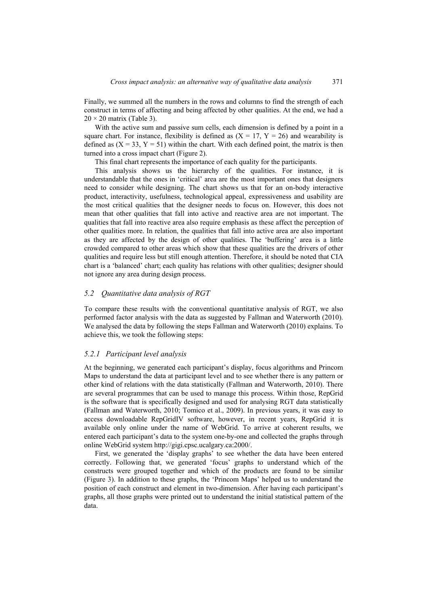Finally, we summed all the numbers in the rows and columns to find the strength of each construct in terms of affecting and being affected by other qualities. At the end, we had a  $20 \times 20$  matrix (Table 3).

With the active sum and passive sum cells, each dimension is defined by a point in a square chart. For instance, flexibility is defined as  $(X = 17, Y = 26)$  and wearability is defined as  $(X = 33, Y = 51)$  within the chart. With each defined point, the matrix is then turned into a cross impact chart (Figure 2).

This final chart represents the importance of each quality for the participants.

This analysis shows us the hierarchy of the qualities. For instance, it is understandable that the ones in 'critical' area are the most important ones that designers need to consider while designing. The chart shows us that for an on-body interactive product, interactivity, usefulness, technological appeal, expressiveness and usability are the most critical qualities that the designer needs to focus on. However, this does not mean that other qualities that fall into active and reactive area are not important. The qualities that fall into reactive area also require emphasis as these affect the perception of other qualities more. In relation, the qualities that fall into active area are also important as they are affected by the design of other qualities. The 'buffering' area is a little crowded compared to other areas which show that these qualities are the drivers of other qualities and require less but still enough attention. Therefore, it should be noted that CIA chart is a 'balanced' chart; each quality has relations with other qualities; designer should not ignore any area during design process.

#### *5.2 Quantitative data analysis of RGT*

To compare these results with the conventional quantitative analysis of RGT, we also performed factor analysis with the data as suggested by Fallman and Waterworth (2010). We analysed the data by following the steps Fallman and Waterworth (2010) explains. To achieve this, we took the following steps:

#### *5.2.1 Participant level analysis*

At the beginning, we generated each participant's display, focus algorithms and Princom Maps to understand the data at participant level and to see whether there is any pattern or other kind of relations with the data statistically (Fallman and Waterworth, 2010). There are several programmes that can be used to manage this process. Within those, RepGrid is the software that is specifically designed and used for analysing RGT data statistically (Fallman and Waterworth, 2010; Tomico et al., 2009). In previous years, it was easy to access downloadable RepGridIV software, however, in recent years, RepGrid it is available only online under the name of WebGrid. To arrive at coherent results, we entered each participant's data to the system one-by-one and collected the graphs through online WebGrid system http://gigi.cpsc.ucalgary.ca:2000/.

First, we generated the 'display graphs' to see whether the data have been entered correctly. Following that, we generated 'focus' graphs to understand which of the constructs were grouped together and which of the products are found to be similar (Figure 3). In addition to these graphs, the 'Princom Maps' helped us to understand the position of each construct and element in two-dimension. After having each participant's graphs, all those graphs were printed out to understand the initial statistical pattern of the data.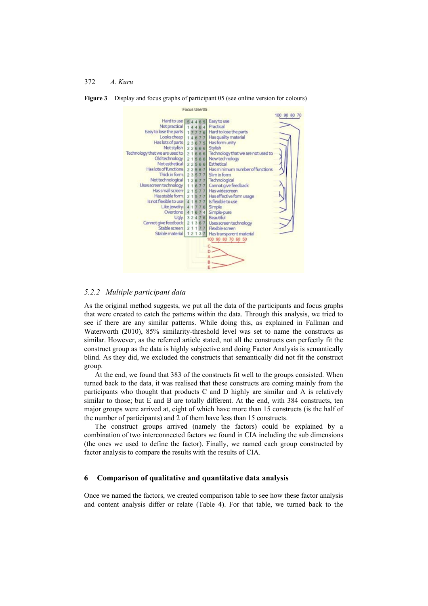

**Figure 3** Display and focus graphs of participant 05 (see online version for colours)

#### *5.2.2 Multiple participant data*

As the original method suggests, we put all the data of the participants and focus graphs that were created to catch the patterns within the data. Through this analysis, we tried to see if there are any similar patterns. While doing this, as explained in Fallman and Waterworth (2010), 85% similarity-threshold level was set to name the constructs as similar. However, as the referred article stated, not all the constructs can perfectly fit the construct group as the data is highly subjective and doing Factor Analysis is semantically blind. As they did, we excluded the constructs that semantically did not fit the construct group.

At the end, we found that 383 of the constructs fit well to the groups consisted. When turned back to the data, it was realised that these constructs are coming mainly from the participants who thought that products C and D highly are similar and A is relatively similar to those; but E and B are totally different. At the end, with 384 constructs, ten major groups were arrived at, eight of which have more than 15 constructs (is the half of the number of participants) and 2 of them have less than 15 constructs.

The construct groups arrived (namely the factors) could be explained by a combination of two interconnected factors we found in CIA including the sub dimensions (the ones we used to define the factor). Finally, we named each group constructed by factor analysis to compare the results with the results of CIA.

## **6 Comparison of qualitative and quantitative data analysis**

Once we named the factors, we created comparison table to see how these factor analysis and content analysis differ or relate (Table 4). For that table, we turned back to the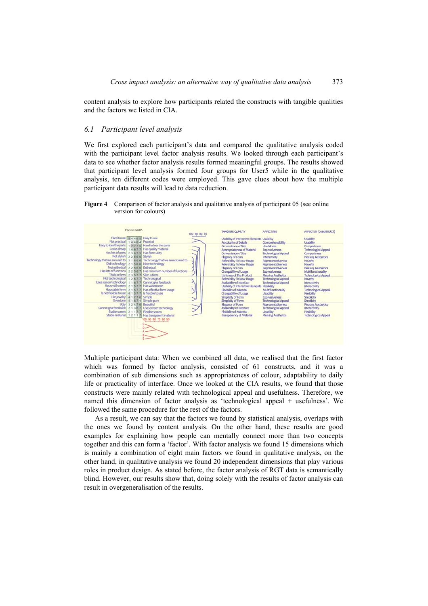content analysis to explore how participants related the constructs with tangible qualities and the factors we listed in CIA.

### *6.1 Participant level analysis*

We first explored each participant's data and compared the qualitative analysis coded with the participant level factor analysis results. We looked through each participant's data to see whether factor analysis results formed meaningful groups. The results showed that participant level analysis formed four groups for User5 while in the qualitative analysis, ten different codes were employed. This gave clues about how the multiple participant data results will lead to data reduction.

**Figure 4** Comparison of factor analysis and qualitative analysis of participant 05 (see online version for colours)



Multiple participant data: When we combined all data, we realised that the first factor which was formed by factor analysis, consisted of 61 constructs, and it was a combination of sub dimensions such as appropriateness of colour, adaptability to daily life or practicality of interface. Once we looked at the CIA results, we found that those constructs were mainly related with technological appeal and usefulness. Therefore, we named this dimension of factor analysis as 'technological appeal + usefulness'. We followed the same procedure for the rest of the factors.

As a result, we can say that the factors we found by statistical analysis, overlaps with the ones we found by content analysis. On the other hand, these results are good examples for explaining how people can mentally connect more than two concepts together and this can form a 'factor'. With factor analysis we found 15 dimensions which is mainly a combination of eight main factors we found in qualitative analysis, on the other hand, in qualitative analysis we found 20 independent dimensions that play various roles in product design. As stated before, the factor analysis of RGT data is semantically blind. However, our results show that, doing solely with the results of factor analysis can result in overgeneralisation of the results.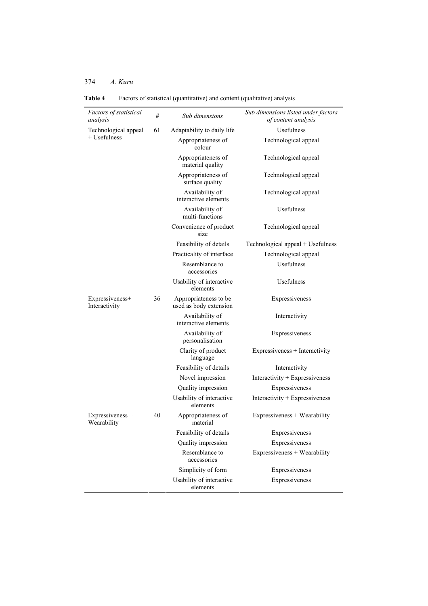| Factors of statistical<br>analysis | #  | Sub dimensions                                  | Sub dimensions listed under factors<br>of content analysis |
|------------------------------------|----|-------------------------------------------------|------------------------------------------------------------|
| Technological appeal               | 61 | Adaptability to daily life                      | Usefulness                                                 |
| + Usefulness                       |    | Appropriateness of<br>colour                    | Technological appeal                                       |
|                                    |    | Appropriateness of<br>material quality          | Technological appeal                                       |
|                                    |    | Appropriateness of<br>surface quality           | Technological appeal                                       |
|                                    |    | Availability of<br>interactive elements         | Technological appeal                                       |
|                                    |    | Availability of<br>multi-functions              | Usefulness                                                 |
|                                    |    | Convenience of product<br>size                  | Technological appeal                                       |
|                                    |    | Feasibility of details                          | Technological appeal + Usefulness                          |
|                                    |    | Practicality of interface                       | Technological appeal                                       |
|                                    |    | Resemblance to<br>accessories                   | Usefulness                                                 |
|                                    |    | Usability of interactive<br>elements            | Usefulness                                                 |
| Expressiveness+<br>Interactivity   | 36 | Appropriateness to be<br>used as body extension | Expressiveness                                             |
|                                    |    | Availability of<br>interactive elements         | Interactivity                                              |
|                                    |    | Availability of<br>personalisation              | Expressiveness                                             |
|                                    |    | Clarity of product<br>language                  | Expressiveness + Interactivity                             |
|                                    |    | Feasibility of details                          | Interactivity                                              |
|                                    |    | Novel impression                                | Interactivity + Expressiveness                             |
|                                    |    | Quality impression                              | Expressiveness                                             |
|                                    |    | Usability of interactive<br>elements            | Interactivity + Expressiveness                             |
| Expressiveness +<br>Wearability    | 40 | Appropriateness of<br>material                  | Expressiveness + Wearability                               |
|                                    |    | Feasibility of details                          | Expressiveness                                             |
|                                    |    | Quality impression                              | Expressiveness                                             |
|                                    |    | Resemblance to<br>accessories                   | Expressiveness + Wearability                               |
|                                    |    | Simplicity of form                              | Expressiveness                                             |
|                                    |    | Usability of interactive<br>elements            | Expressiveness                                             |

**Table 4** Factors of statistical (quantitative) and content (qualitative) analysis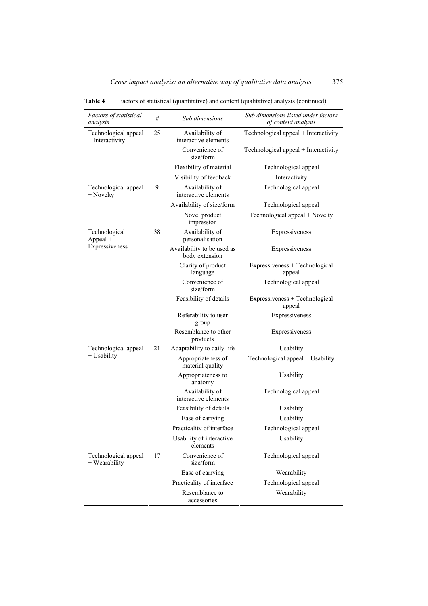| Factors of statistical<br>analysis      | #  | Sub dimensions                               | Sub dimensions listed under factors<br>of content analysis |                      |                               |           |  |  |
|-----------------------------------------|----|----------------------------------------------|------------------------------------------------------------|----------------------|-------------------------------|-----------|--|--|
| Technological appeal<br>+ Interactivity | 25 | Availability of<br>interactive elements      | Technological appeal + Interactivity                       |                      |                               |           |  |  |
|                                         |    | Convenience of<br>size/form                  | Technological appeal + Interactivity                       |                      |                               |           |  |  |
|                                         |    | Flexibility of material                      | Technological appeal                                       |                      |                               |           |  |  |
|                                         |    | Visibility of feedback                       | Interactivity                                              |                      |                               |           |  |  |
| Technological appeal<br>+ Novelty       | 9  | Availability of<br>interactive elements      | Technological appeal                                       |                      |                               |           |  |  |
|                                         |    | Availability of size/form                    | Technological appeal                                       |                      |                               |           |  |  |
|                                         |    | Novel product<br>impression                  | Technological appeal + Novelty                             |                      |                               |           |  |  |
| Technological<br>Appeal +               | 38 | Availability of<br>personalisation           | Expressiveness                                             |                      |                               |           |  |  |
| Expressiveness                          |    | Availability to be used as<br>body extension | Expressiveness                                             |                      |                               |           |  |  |
|                                         |    | Clarity of product<br>language               | Expressiveness + Technological<br>appeal                   |                      |                               |           |  |  |
|                                         |    | Convenience of<br>size/form                  | Technological appeal                                       |                      |                               |           |  |  |
|                                         |    | Feasibility of details                       | Expressiveness + Technological<br>appeal                   |                      |                               |           |  |  |
|                                         |    | Referability to user<br>group                | Expressiveness                                             |                      |                               |           |  |  |
|                                         |    | Resemblance to other<br>products             | Expressiveness                                             |                      |                               |           |  |  |
| Technological appeal                    | 21 | Adaptability to daily life                   | Usability                                                  |                      |                               |           |  |  |
| + Usability                             |    | Appropriateness of<br>material quality       | Technological appeal + Usability                           |                      |                               |           |  |  |
|                                         |    |                                              |                                                            |                      | Appropriateness to<br>anatomy | Usability |  |  |
|                                         |    |                                              | Availability of<br>interactive elements                    | Technological appeal |                               |           |  |  |
|                                         |    | Feasibility of details                       | Usability                                                  |                      |                               |           |  |  |
|                                         |    | Ease of carrying                             | Usability                                                  |                      |                               |           |  |  |
|                                         |    | Practicality of interface                    | Technological appeal                                       |                      |                               |           |  |  |
|                                         |    | Usability of interactive<br>elements         | Usability                                                  |                      |                               |           |  |  |
| Technological appeal<br>+ Wearability   | 17 | Convenience of<br>size/form                  | Technological appeal                                       |                      |                               |           |  |  |
|                                         |    | Ease of carrying                             | Wearability                                                |                      |                               |           |  |  |
|                                         |    | Practicality of interface                    | Technological appeal                                       |                      |                               |           |  |  |
|                                         |    | Resemblance to<br>accessories                | Wearability                                                |                      |                               |           |  |  |

**Table 4** Factors of statistical (quantitative) and content (qualitative) analysis (continued)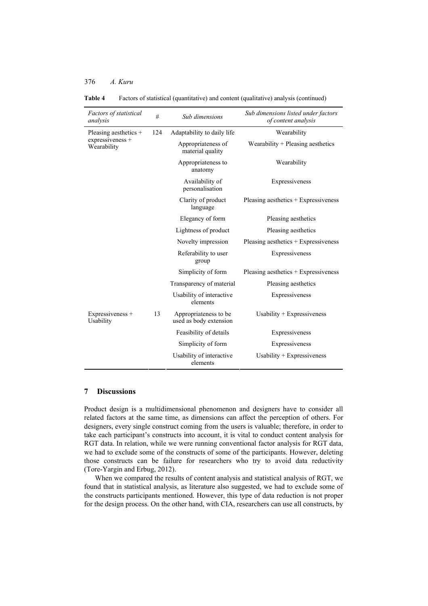| <b>Factors of statistical</b><br>analysis | #                        | Sub dimensions                                  | Sub dimensions listed under factors<br>of content analysis    |  |  |  |  |
|-------------------------------------------|--------------------------|-------------------------------------------------|---------------------------------------------------------------|--|--|--|--|
| Pleasing aesthetics $+$                   | 124                      | Adaptability to daily life                      | Wearability                                                   |  |  |  |  |
| expressiveness +<br>Wearability           |                          | Appropriateness of<br>material quality          | Wearability $+$ Pleasing aesthetics                           |  |  |  |  |
|                                           |                          | Appropriateness to<br>anatomy                   | Wearability                                                   |  |  |  |  |
|                                           |                          | Availability of<br>personalisation              | Expressiveness                                                |  |  |  |  |
|                                           |                          | Clarity of product<br>language                  | Pleasing aesthetics $+$ Expressiveness<br>Pleasing aesthetics |  |  |  |  |
|                                           |                          | Elegancy of form                                |                                                               |  |  |  |  |
|                                           |                          | Lightness of product                            | Pleasing aesthetics                                           |  |  |  |  |
|                                           |                          | Novelty impression                              | Pleasing aesthetics $+$ Expressiveness                        |  |  |  |  |
|                                           |                          | Referability to user<br>group                   | Expressiveness                                                |  |  |  |  |
|                                           |                          | Simplicity of form                              | Pleasing aesthetics $+$ Expressiveness                        |  |  |  |  |
|                                           | Transparency of material |                                                 | Pleasing aesthetics                                           |  |  |  |  |
|                                           |                          | Usability of interactive<br>elements            | Expressiveness                                                |  |  |  |  |
| Expressiveness +<br>Usability             | 13                       | Appropriateness to be<br>used as body extension | Usability $+$ Expressiveness                                  |  |  |  |  |
|                                           | Feasibility of details   |                                                 | Expressiveness                                                |  |  |  |  |
|                                           |                          | Simplicity of form                              | Expressiveness                                                |  |  |  |  |
|                                           |                          | Usability of interactive<br>elements            | Usability $+$ Expressiveness                                  |  |  |  |  |

**Table 4** Factors of statistical (quantitative) and content (qualitative) analysis (continued)

## **7 Discussions**

Product design is a multidimensional phenomenon and designers have to consider all related factors at the same time, as dimensions can affect the perception of others. For designers, every single construct coming from the users is valuable; therefore, in order to take each participant's constructs into account, it is vital to conduct content analysis for RGT data. In relation, while we were running conventional factor analysis for RGT data, we had to exclude some of the constructs of some of the participants. However, deleting those constructs can be failure for researchers who try to avoid data reductivity (Tore-Yargin and Erbug, 2012).

When we compared the results of content analysis and statistical analysis of RGT, we found that in statistical analysis, as literature also suggested, we had to exclude some of the constructs participants mentioned. However, this type of data reduction is not proper for the design process. On the other hand, with CIA, researchers can use all constructs, by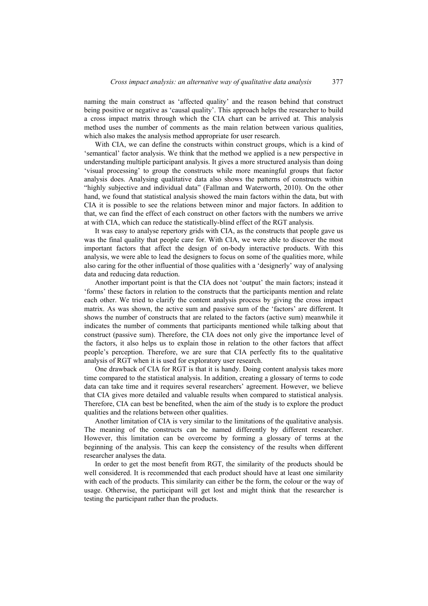naming the main construct as 'affected quality' and the reason behind that construct being positive or negative as 'causal quality'. This approach helps the researcher to build a cross impact matrix through which the CIA chart can be arrived at. This analysis method uses the number of comments as the main relation between various qualities, which also makes the analysis method appropriate for user research.

With CIA, we can define the constructs within construct groups, which is a kind of 'semantical' factor analysis. We think that the method we applied is a new perspective in understanding multiple participant analysis. It gives a more structured analysis than doing 'visual processing' to group the constructs while more meaningful groups that factor analysis does. Analysing qualitative data also shows the patterns of constructs within "highly subjective and individual data" (Fallman and Waterworth, 2010). On the other hand, we found that statistical analysis showed the main factors within the data, but with CIA it is possible to see the relations between minor and major factors. In addition to that, we can find the effect of each construct on other factors with the numbers we arrive at with CIA, which can reduce the statistically-blind effect of the RGT analysis.

It was easy to analyse repertory grids with CIA, as the constructs that people gave us was the final quality that people care for. With CIA, we were able to discover the most important factors that affect the design of on-body interactive products. With this analysis, we were able to lead the designers to focus on some of the qualities more, while also caring for the other influential of those qualities with a 'designerly' way of analysing data and reducing data reduction.

Another important point is that the CIA does not 'output' the main factors; instead it 'forms' these factors in relation to the constructs that the participants mention and relate each other. We tried to clarify the content analysis process by giving the cross impact matrix. As was shown, the active sum and passive sum of the 'factors' are different. It shows the number of constructs that are related to the factors (active sum) meanwhile it indicates the number of comments that participants mentioned while talking about that construct (passive sum). Therefore, the CIA does not only give the importance level of the factors, it also helps us to explain those in relation to the other factors that affect people's perception. Therefore, we are sure that CIA perfectly fits to the qualitative analysis of RGT when it is used for exploratory user research.

One drawback of CIA for RGT is that it is handy. Doing content analysis takes more time compared to the statistical analysis. In addition, creating a glossary of terms to code data can take time and it requires several researchers' agreement. However, we believe that CIA gives more detailed and valuable results when compared to statistical analysis. Therefore, CIA can best be benefited, when the aim of the study is to explore the product qualities and the relations between other qualities.

Another limitation of CIA is very similar to the limitations of the qualitative analysis. The meaning of the constructs can be named differently by different researcher. However, this limitation can be overcome by forming a glossary of terms at the beginning of the analysis. This can keep the consistency of the results when different researcher analyses the data.

In order to get the most benefit from RGT, the similarity of the products should be well considered. It is recommended that each product should have at least one similarity with each of the products. This similarity can either be the form, the colour or the way of usage. Otherwise, the participant will get lost and might think that the researcher is testing the participant rather than the products.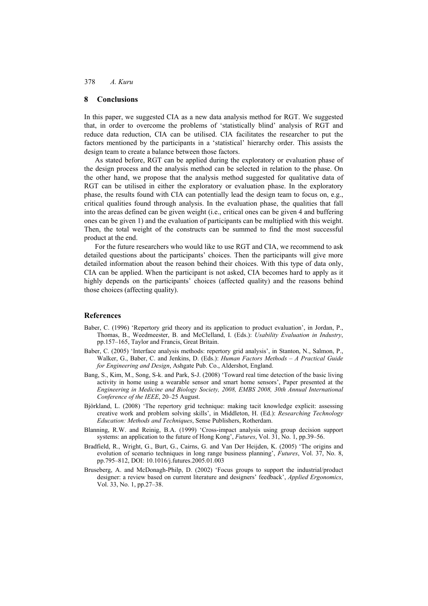#### **8 Conclusions**

In this paper, we suggested CIA as a new data analysis method for RGT. We suggested that, in order to overcome the problems of 'statistically blind' analysis of RGT and reduce data reduction, CIA can be utilised. CIA facilitates the researcher to put the factors mentioned by the participants in a 'statistical' hierarchy order. This assists the design team to create a balance between those factors.

As stated before, RGT can be applied during the exploratory or evaluation phase of the design process and the analysis method can be selected in relation to the phase. On the other hand, we propose that the analysis method suggested for qualitative data of RGT can be utilised in either the exploratory or evaluation phase. In the exploratory phase, the results found with CIA can potentially lead the design team to focus on, e.g., critical qualities found through analysis. In the evaluation phase, the qualities that fall into the areas defined can be given weight (i.e., critical ones can be given 4 and buffering ones can be given 1) and the evaluation of participants can be multiplied with this weight. Then, the total weight of the constructs can be summed to find the most successful product at the end.

For the future researchers who would like to use RGT and CIA, we recommend to ask detailed questions about the participants' choices. Then the participants will give more detailed information about the reason behind their choices. With this type of data only, CIA can be applied. When the participant is not asked, CIA becomes hard to apply as it highly depends on the participants' choices (affected quality) and the reasons behind those choices (affecting quality).

#### **References**

- Baber, C. (1996) 'Repertory grid theory and its application to product evaluation', in Jordan, P., Thomas, B., Weedmeester, B. and McClelland, I. (Eds.): *Usability Evaluation in Industry*, pp.157–165, Taylor and Francis, Great Britain.
- Baber, C. (2005) 'Interface analysis methods: repertory grid analysis', in Stanton, N., Salmon, P., Walker, G., Baber, C. and Jenkins, D. (Eds.): *Human Factors Methods – A Practical Guide for Engineering and Design*, Ashgate Pub. Co., Aldershot, England.
- Bang, S., Kim, M., Song, S-k. and Park, S-J. (2008) 'Toward real time detection of the basic living activity in home using a wearable sensor and smart home sensors', Paper presented at the *Engineering in Medicine and Biology Society, 2008, EMBS 2008, 30th Annual International Conference of the IEEE*, 20–25 August.
- Björkland, L. (2008) 'The repertory grid technique: making tacit knowledge explicit: assessing creative work and problem solving skills', in Middleton, H. (Ed.): *Researching Technology Education: Methods and Techniques*, Sense Publishers, Rotherdam.
- Blanning, R.W. and Reinig, B.A. (1999) 'Cross-impact analysis using group decision support systems: an application to the future of Hong Kong', *Futures*, Vol. 31, No. 1, pp.39–56.
- Bradfield, R., Wright, G., Burt, G., Cairns, G. and Van Der Heijden, K. (2005) 'The origins and evolution of scenario techniques in long range business planning', *Futures*, Vol. 37, No. 8, pp.795–812, DOI: 10.1016/j.futures.2005.01.003
- Bruseberg, A. and McDonagh-Philp, D. (2002) 'Focus groups to support the industrial/product designer: a review based on current literature and designers' feedback', *Applied Ergonomics*, Vol. 33, No. 1, pp.27–38.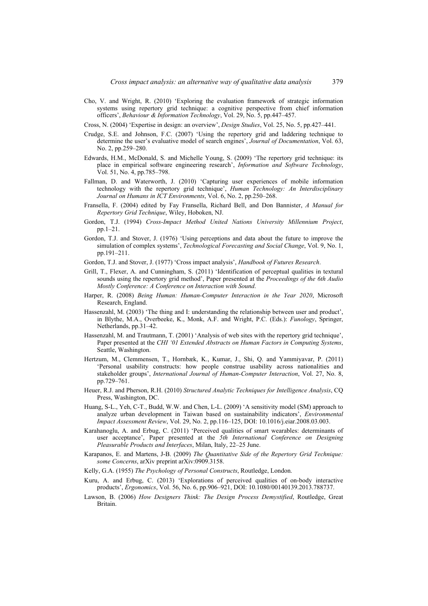Cho, V. and Wright, R. (2010) 'Exploring the evaluation framework of strategic information systems using repertory grid technique: a cognitive perspective from chief information officers', *Behaviour & Information Technology*, Vol. 29, No. 5, pp.447–457.

Cross, N. (2004) 'Expertise in design: an overview', *Design Studies*, Vol. 25, No. 5, pp.427–441.

- Crudge, S.E. and Johnson, F.C. (2007) 'Using the repertory grid and laddering technique to determine the user's evaluative model of search engines', *Journal of Documentation*, Vol. 63, No. 2, pp.259–280.
- Edwards, H.M., McDonald, S. and Michelle Young, S. (2009) 'The repertory grid technique: its place in empirical software engineering research', *Information and Software Technology*, Vol. 51, No. 4, pp.785–798.
- Fallman, D. and Waterworth, J. (2010) 'Capturing user experiences of mobile information technology with the repertory grid technique', *Human Technology: An Interdisciplinary Journal on Humans in ICT Environments*, Vol. 6, No. 2, pp.250–268.
- Fransella, F. (2004) edited by Fay Fransella, Richard Bell, and Don Bannister, *A Manual for Repertory Grid Technique*, Wiley, Hoboken, NJ.
- Gordon, T.J. (1994) *Cross-Impact Method United Nations University Millennium Project*, pp.1–21.
- Gordon, T.J. and Stover, J. (1976) 'Using perceptions and data about the future to improve the simulation of complex systems', *Technological Forecasting and Social Change*, Vol. 9, No. 1, pp.191–211.
- Gordon, T.J. and Stover, J. (1977) 'Cross impact analysis', *Handbook of Futures Research*.
- Grill, T., Flexer, A. and Cunningham, S. (2011) 'Identification of perceptual qualities in textural sounds using the repertory grid method', Paper presented at the *Proceedings of the 6th Audio Mostly Conference: A Conference on Interaction with Sound*.
- Harper, R. (2008) *Being Human: Human-Computer Interaction in the Year 2020*, Microsoft Research, England.
- Hassenzahl, M. (2003) 'The thing and I: understanding the relationship between user and product', in Blythe, M.A., Overbeeke, K., Monk, A.F. and Wright, P.C. (Eds.): *Funology*, Springer, Netherlands, pp.31–42.
- Hassenzahl, M. and Trautmann, T. (2001) 'Analysis of web sites with the repertory grid technique', Paper presented at the *CHI '01 Extended Abstracts on Human Factors in Computing Systems*, Seattle, Washington.
- Hertzum, M., Clemmensen, T., Hornbæk, K., Kumar, J., Shi, Q. and Yammiyavar, P. (2011) 'Personal usability constructs: how people construe usability across nationalities and stakeholder groups', *International Journal of Human-Computer Interaction*, Vol. 27, No. 8, pp.729–761.
- Heuer, R.J. and Pherson, R.H. (2010) *Structured Analytic Techniques for Intelligence Analysis*, CQ Press, Washington, DC.
- Huang, S-L., Yeh, C-T., Budd, W.W. and Chen, L-L. (2009) 'A sensitivity model (SM) approach to analyze urban development in Taiwan based on sustainability indicators', *Environmental Impact Assessment Review*, Vol. 29, No. 2, pp.116–125, DOI: 10.1016/j.eiar.2008.03.003.
- Karahanoglu, A. and Erbug, C. (2011) 'Perceived qualities of smart wearables: determinants of user acceptance', Paper presented at the *5th International Conference on Designing Pleasurable Products and Interfaces*, Milan, Italy, 22–25 June.
- Karapanos, E. and Martens, J-B. (2009) *The Quantitative Side of the Repertory Grid Technique: some Concerns*, arXiv preprint arXiv:0909.3158.
- Kelly, G.A. (1955) *The Psychology of Personal Constructs*, Routledge, London.
- Kuru, A. and Erbug, C. (2013) 'Explorations of perceived qualities of on-body interactive products', *Ergonomics*, Vol. 56, No. 6, pp.906–921, DOI: 10.1080/00140139.2013.788737.
- Lawson, B. (2006) *How Designers Think: The Design Process Demystified*, Routledge, Great Britain.